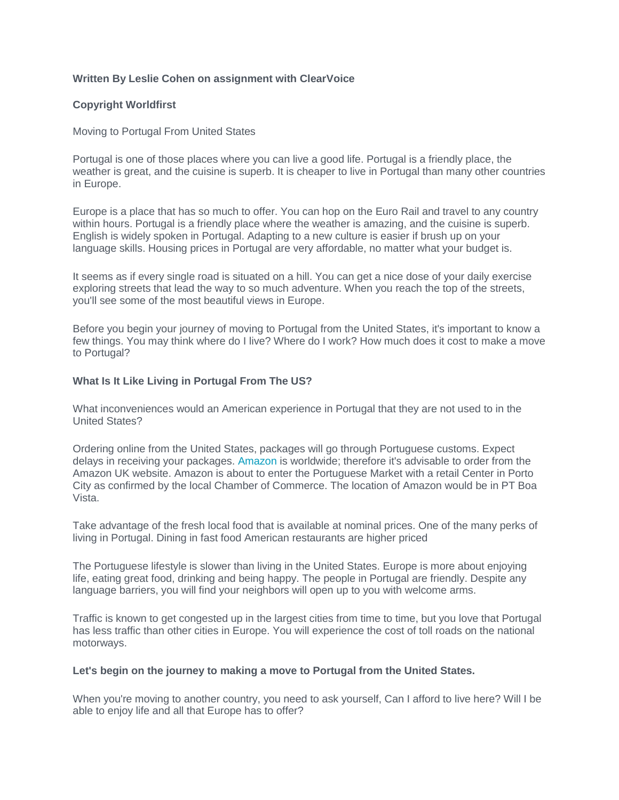# **Written By Leslie Cohen on assignment with ClearVoice**

### **Copyright Worldfirst**

#### Moving to Portugal From United States

Portugal is one of those places where you can live a good life. Portugal is a friendly place, the weather is great, and the cuisine is superb. It is cheaper to live in Portugal than many other countries in Europe.

Europe is a place that has so much to offer. You can hop on the Euro Rail and travel to any country within hours. Portugal is a friendly place where the weather is amazing, and the cuisine is superb. English is widely spoken in Portugal. Adapting to a new culture is easier if brush up on your language skills. Housing prices in Portugal are very affordable, no matter what your budget is.

It seems as if every single road is situated on a hill. You can get a nice dose of your daily exercise exploring streets that lead the way to so much adventure. When you reach the top of the streets, you'll see some of the most beautiful views in Europe.

Before you begin your journey of moving to Portugal from the United States, it's important to know a few things. You may think where do I live? Where do I work? How much does it cost to make a move to Portugal?

### **What Is It Like Living in Portugal From The US?**

What inconveniences would an American experience in Portugal that they are not used to in the United States?

Ordering online from the United States, packages will go through Portuguese customs. Expect delays in receiving your packages. [Amazon](https://www.worldfirst.com/us/blog/selling-online/high-volume-amazon-sellers-expanding-new-countries-quickly/) is worldwide; therefore it's advisable to order from the Amazon UK website. Amazon is about to enter the Portuguese Market with a retail Center in Porto City as confirmed by the local Chamber of Commerce. The location of Amazon would be in PT Boa Vista.

Take advantage of the fresh local food that is available at nominal prices. One of the many perks of living in Portugal. Dining in fast food American restaurants are higher priced

The Portuguese lifestyle is slower than living in the United States. Europe is more about enjoying life, eating great food, drinking and being happy. The people in Portugal are friendly. Despite any language barriers, you will find your neighbors will open up to you with welcome arms.

Traffic is known to get congested up in the largest cities from time to time, but you love that Portugal has less traffic than other cities in Europe. You will experience the cost of toll roads on the national motorways.

#### **Let's begin on the journey to making a move to Portugal from the United States.**

When you're moving to another country, you need to ask yourself, Can I afford to live here? Will I be able to enjoy life and all that Europe has to offer?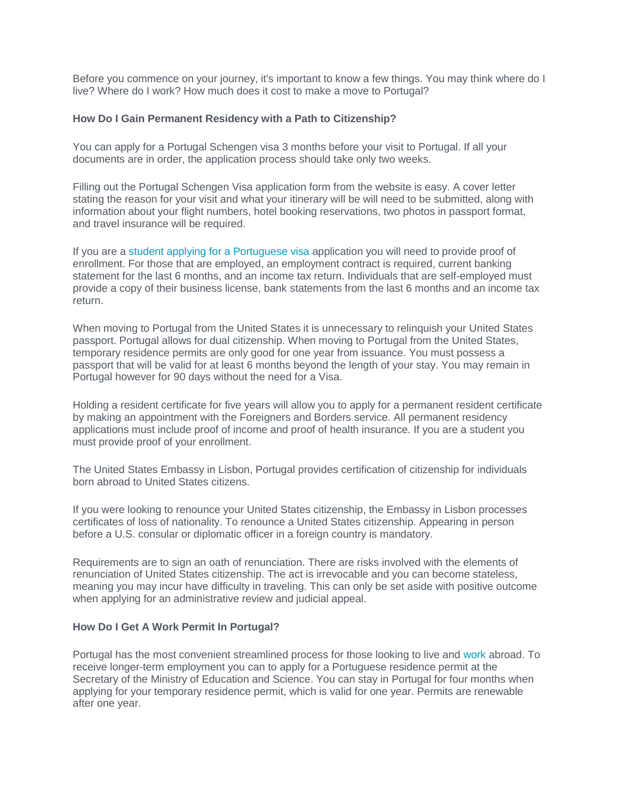Before you commence on your journey, it's important to know a few things. You may think where do I live? Where do I work? How much does it cost to make a move to Portugal?

### **How Do I Gain Permanent Residency with a Path to Citizenship?**

You can apply for a Portugal Schengen visa 3 months before your visit to Portugal. If all your documents are in order, the application process should take only two weeks.

Filling out the Portugal Schengen Visa application form from the website is easy. A cover letter stating the reason for your visit and what your itinerary will be will need to be submitted, along with information about your flight numbers, hotel booking reservations, two photos in passport format, and travel insurance will be required.

If you are a [student applying for a Portuguese visa](https://www.worldfirst.com/us/blog/your-money/lifestyle/benefits-studying-abroad/) application you will need to provide proof of enrollment. For those that are employed, an employment contract is required, current banking statement for the last 6 months, and an income tax return. Individuals that are self-employed must provide a copy of their business license, bank statements from the last 6 months and an income tax return.

When moving to Portugal from the United States it is unnecessary to relinquish your United States passport. Portugal allows for dual citizenship. When moving to Portugal from the United States, temporary residence permits are only good for one year from issuance. You must possess a passport that will be valid for at least 6 months beyond the length of your stay. You may remain in Portugal however for 90 days without the need for a Visa.

Holding a resident certificate for five years will allow you to apply for a permanent resident certificate by making an appointment with the Foreigners and Borders service. All permanent residency applications must include proof of income and proof of health insurance. If you are a student you must provide proof of your enrollment.

The United States Embassy in Lisbon, Portugal provides certification of citizenship for individuals born abroad to United States citizens.

If you were looking to renounce your United States citizenship, the Embassy in Lisbon processes certificates of loss of nationality. To renounce a United States citizenship. Appearing in person before a U.S. consular or diplomatic officer in a foreign country is mandatory.

Requirements are to sign an oath of renunciation. There are risks involved with the elements of renunciation of United States citizenship. The act is irrevocable and you can become stateless, meaning you may incur have difficulty in traveling. This can only be set aside with positive outcome when applying for an administrative review and judicial appeal.

#### **How Do I Get A Work Permit In Portugal?**

Portugal has the most convenient streamlined process for those looking to live and [work](https://www.worldfirst.com/us/blog/your-money/lifestyle/finding-jobs-abroad/) abroad. To receive longer-term employment you can to apply for a Portuguese residence permit at the Secretary of the Ministry of Education and Science. You can stay in Portugal for four months when applying for your temporary residence permit, which is valid for one year. Permits are renewable after one year.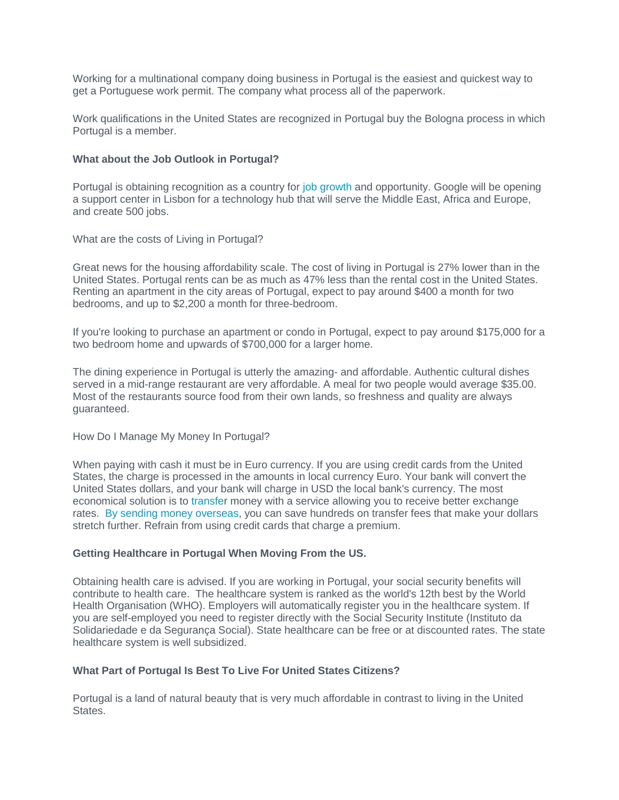Working for a multinational company doing business in Portugal is the easiest and quickest way to get a Portuguese work permit. The company what process all of the paperwork.

Work qualifications in the United States are recognized in Portugal buy the Bologna process in which Portugal is a member.

### **What about the Job Outlook in Portugal?**

Portugal is obtaining recognition as a country for [job growth](https://www.worldfirst.com/us/blog/your-money/lifestyle/finding-jobs-abroad/) and opportunity. Google will be opening a support center in Lisbon for a technology hub that will serve the Middle East, Africa and Europe, and create 500 jobs.

What are the costs of Living in Portugal?

Great news for the housing affordability scale. The cost of living in Portugal is 27% lower than in the United States. Portugal rents can be as much as 47% less than the rental cost in the United States. Renting an apartment in the city areas of Portugal, expect to pay around \$400 a month for two bedrooms, and up to \$2,200 a month for three-bedroom.

If you're looking to purchase an apartment or condo in Portugal, expect to pay around \$175,000 for a two bedroom home and upwards of \$700,000 for a larger home.

The dining experience in Portugal is utterly the amazing- and affordable. Authentic cultural dishes served in a mid-range restaurant are very affordable. A meal for two people would average \$35.00. Most of the restaurants source food from their own lands, so freshness and quality are always guaranteed.

How Do I Manage My Money In Portugal?

When paying with cash it must be in Euro currency. If you are using credit cards from the United States, the charge is processed in the amounts in local currency Euro. Your bank will convert the United States dollars, and your bank will charge in USD the local bank's currency. The most economical solution is to [transfer](https://www.worldfirst.com/us/private/) money with a service allowing you to receive better exchange rates. [By sending money overseas,](https://www.worldfirst.com/us/private/) you can save hundreds on transfer fees that make your dollars stretch further. Refrain from using credit cards that charge a premium.

# **Getting Healthcare in Portugal When Moving From the US.**

Obtaining health care is advised. If you are working in Portugal, your social security benefits will contribute to health care. The healthcare system is ranked as the world's 12th best by the World Health Organisation (WHO). Employers will automatically register you in the healthcare system. If you are self-employed you need to register directly with the Social Security Institute (Instituto da Solidariedade e da Segurança Social). State healthcare can be free or at discounted rates. The state healthcare system is well subsidized.

# **What Part of Portugal Is Best To Live For United States Citizens?**

Portugal is a land of natural beauty that is very much affordable in contrast to living in the United States.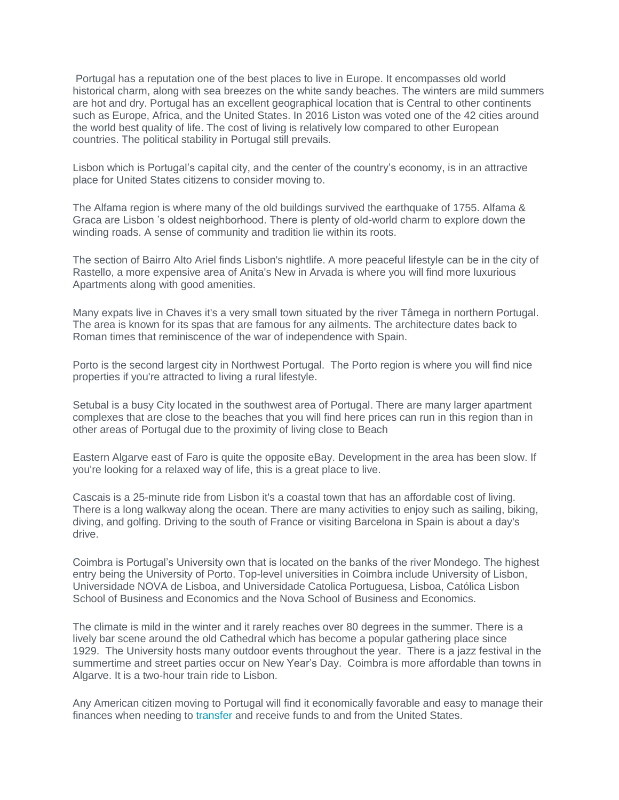Portugal has a reputation one of the best places to live in Europe. It encompasses old world historical charm, along with sea breezes on the white sandy beaches. The winters are mild summers are hot and dry. Portugal has an excellent geographical location that is Central to other continents such as Europe, Africa, and the United States. In 2016 Liston was voted one of the 42 cities around the world best quality of life. The cost of living is relatively low compared to other European countries. The political stability in Portugal still prevails.

Lisbon which is Portugal's capital city, and the center of the country's economy, is in an attractive place for United States citizens to consider moving to.

The Alfama region is where many of the old buildings survived the earthquake of 1755. Alfama & Graca are Lisbon 's oldest neighborhood. There is plenty of old-world charm to explore down the winding roads. A sense of community and tradition lie within its roots.

The section of Bairro Alto Ariel finds Lisbon's nightlife. A more peaceful lifestyle can be in the city of Rastello, a more expensive area of Anita's New in Arvada is where you will find more luxurious Apartments along with good amenities.

Many expats live in Chaves it's a very small town situated by the river Tâmega in northern Portugal. The area is known for its spas that are famous for any ailments. The architecture dates back to Roman times that reminiscence of the war of independence with Spain.

Porto is the second largest city in Northwest Portugal. The Porto region is where you will find nice properties if you're attracted to living a rural lifestyle.

Setubal is a busy City located in the southwest area of Portugal. There are many larger apartment complexes that are close to the beaches that you will find here prices can run in this region than in other areas of Portugal due to the proximity of living close to Beach

Eastern Algarve east of Faro is quite the opposite eBay. Development in the area has been slow. If you're looking for a relaxed way of life, this is a great place to live.

Cascais is a 25-minute ride from Lisbon it's a coastal town that has an affordable cost of living. There is a long walkway along the ocean. There are many activities to enjoy such as sailing, biking, diving, and golfing. Driving to the south of France or visiting Barcelona in Spain is about a day's drive.

Coimbra is Portugal's University own that is located on the banks of the river Mondego. The highest entry being the University of Porto. Top-level universities in Coimbra include University of Lisbon, Universidade NOVA de Lisboa, and Universidade Catolica Portuguesa, Lisboa, Católica Lisbon School of Business and Economics and the Nova School of Business and Economics.

The climate is mild in the winter and it rarely reaches over 80 degrees in the summer. There is a lively bar scene around the old Cathedral which has become a popular gathering place since 1929. The University hosts many outdoor events throughout the year. There is a jazz festival in the summertime and street parties occur on New Year's Day. Coimbra is more affordable than towns in Algarve. It is a two-hour train ride to Lisbon.

Any American citizen moving to Portugal will find it economically favorable and easy to manage their finances when needing to [transfer](https://www.worldfirst.com/us/) and receive funds to and from the United States.